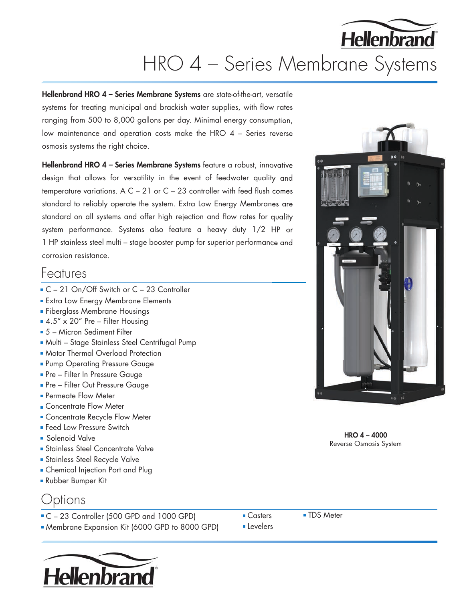# **Hellenbrand** HRO 4 – Series Membrane Systems

Hellenbrand HRO 4 - Series Membrane Systems are state-of-the-art, versatile systems for treating municipal and brackish water supplies, with flow rates ranging from 500 to 8,000 gallons per day. Minimal energy consumption, low maintenance and operation costs make the HRO 4 – Series reverse osmosis systems the right choice.

Hellenbrand HRO 4 - Series Membrane Systems feature a robust, innovative design that allows for versatility in the event of feedwater quality and temperature variations. A  $C - 21$  or  $C - 23$  controller with feed flush comes standard to reliably operate the system. Extra Low Energy Membranes are standard on all systems and offer high rejection and flow rates for quality system performance. Systems also feature a heavy duty 1/2 HP or 1 HP stainless steel multi – stage booster pump for superior performance and corrosion resistance.

#### Features

- C 21 On/Off Switch or C 23 Controller
- **Extra Low Energy Membrane Elements**
- **Fiberglass Membrane Housings**
- $\blacksquare$  4.5" x 20" Pre Filter Housing
- 5 Micron Sediment Filter
- Multi Stage Stainless Steel Centrifugal Pump
- **Motor Thermal Overload Protection**
- **Pump Operating Pressure Gauge**
- **Pre Filter In Pressure Gauge**
- **Pre Filter Out Pressure Gauge**
- **Permeate Flow Meter**
- **Concentrate Flow Meter**
- Concentrate Recycle Flow Meter
- **Feed Low Pressure Switch**
- **Solenoid Valve**
- **Stainless Steel Concentrate Valve**
- **Stainless Steel Recycle Valve**
- **Chemical Injection Port and Plug**
- Rubber Bumper Kit

### Options

- C 23 Controller (500 GPD and 1000 GPD)
- Membrane Expansion Kit (6000 GPD to 8000 GPD)



■ Casters ■ TDS Meter

**Levelers** 



HRO 4 – 4000 Reverse Osmosis System